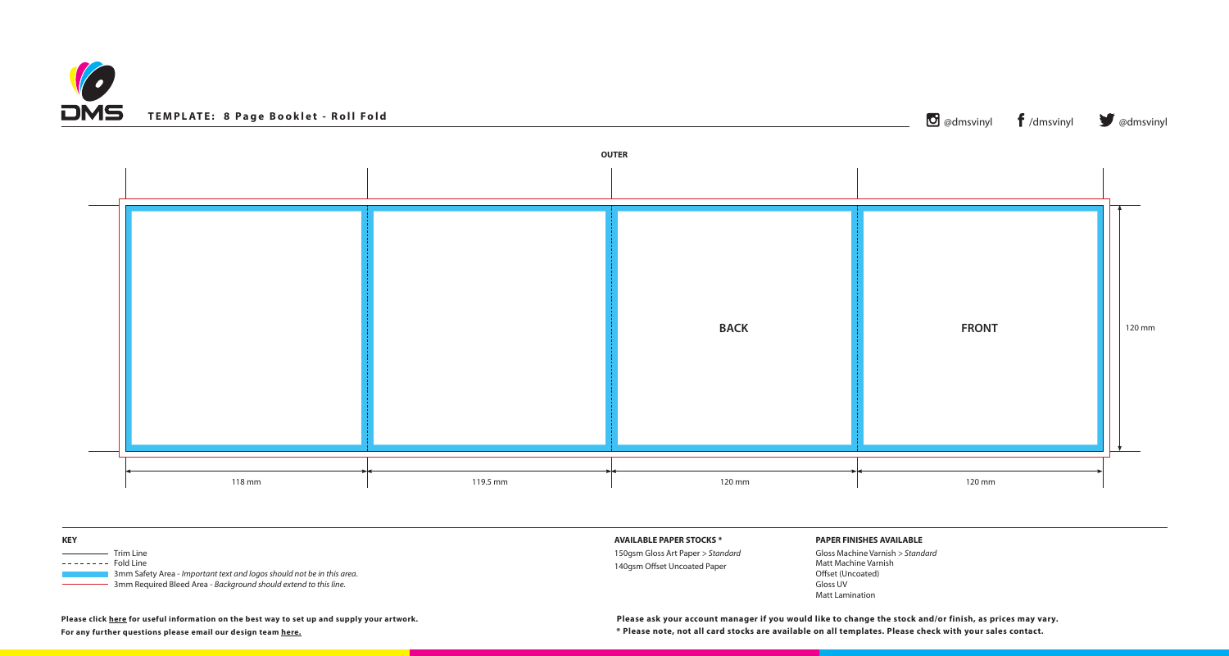| <b>KEY</b>                                                                                                                                                                 | <b>AVAILABLE</b> |
|----------------------------------------------------------------------------------------------------------------------------------------------------------------------------|------------------|
| <b>Trim Line</b>                                                                                                                                                           | 150gsm Glo       |
| --------<br><b>Fold Line</b><br>3mm Safety Area - Important text and logos should not be in this area.<br>3mm Required Bleed Area - Background should extend to this line. | 140gsm Off       |





## **PAPER FINISHES AVAILABLE**

Gloss Machine Varnish *> Standard* Matt Machine Varnish Offset (Uncoated) Gloss UV Matt Lamination

**For any further questions please email our design team [here.](mailto:graphics%40discmanufacturingservices.com?subject=Template%20Enquiry)**

## **E PAPER STOCKS \***

loss Art Paper *> Standard* fset Uncoated Paper

**Please click [here](https://www.discmanufacturingservices.com/cd/templates#artwork-specifications) for useful information on the best way to set up and supply your artwork.**

**\* Please note, not all card stocks are available on all templates. Please check with your sales contact. Please ask your account manager if you would like to change the stock and/or finish, as prices may vary.**